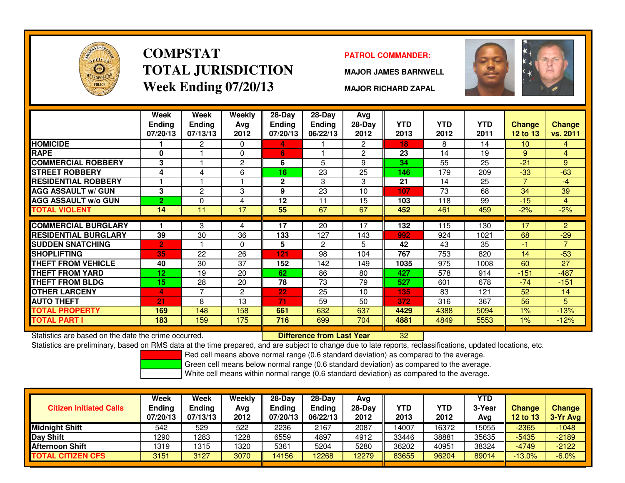

# **COMPSTATTOTAL JURISDICTIONWeek Ending 07/20/13**

### **PATROL COMMANDER:**

**MAJOR JAMES BARNWELL**



**MAJOR RICHARD ZAPAL**

|                             | Week<br><b>Endina</b><br>07/20/13 | Week<br><b>Ending</b><br>07/13/13 | Weekly<br>Avg<br>2012 | 28-Day<br>Endina<br>07/20/13 | 28-Day<br><b>Endina</b><br>06/22/13 | Avg<br>28-Day<br>2012 | <b>YTD</b><br>2013 | <b>YTD</b><br>2012 | <b>YTD</b><br>2011 | Change<br>12 to 13 | <b>Change</b><br>vs. 2011 |
|-----------------------------|-----------------------------------|-----------------------------------|-----------------------|------------------------------|-------------------------------------|-----------------------|--------------------|--------------------|--------------------|--------------------|---------------------------|
| <b>HOMICIDE</b>             |                                   | 2                                 | $\Omega$              | 4                            |                                     | $\mathbf{2}^{\circ}$  | 18                 | 8                  | 14                 | 10                 | 4                         |
| <b>RAPE</b>                 | 0                                 |                                   | $\Omega$              | 6                            |                                     | $\overline{2}$        | 23                 | 14                 | 19                 | 9                  | $\overline{4}$            |
| <b>COMMERCIAL ROBBERY</b>   | 3                                 |                                   | $\overline{2}$        | 6                            | 5                                   | 9                     | 34                 | 55                 | 25                 | $-21$              | 9                         |
| <b>STREET ROBBERY</b>       | 4                                 | 4                                 | 6                     | 16                           | 23                                  | 25                    | 146                | 179                | 209                | $-33$              | $-63$                     |
| <b>RESIDENTIAL ROBBERY</b>  |                                   |                                   |                       | $\mathbf{2}$                 | 3                                   | 3                     | 21                 | 14                 | 25                 | 7                  | -4                        |
| <b>AGG ASSAULT w/ GUN</b>   | 3                                 | 2                                 | 3                     | 9                            | 23                                  | 10                    | 107                | 73                 | 68                 | 34                 | 39                        |
| <b>AGG ASSAULT w/o GUN</b>  | 2                                 | 0                                 | 4                     | 12                           | 11                                  | 15                    | 103                | 118                | 99                 | $-15$              | 4                         |
| TOTAL VIOLENT               | 14                                | 11                                | 17                    | 55                           | 67                                  | 67                    | 452                | 461                | 459                | $-2%$              | $-2%$                     |
|                             |                                   |                                   |                       |                              |                                     |                       |                    |                    |                    |                    |                           |
| <b>COMMERCIAL BURGLARY</b>  |                                   | 3                                 | 4                     | 17                           | 20                                  | 17                    | 132                | 115                | 130                | 17                 | $\overline{2}$            |
| <b>RESIDENTIAL BURGLARY</b> | 39                                | 30                                | 36                    | 133                          | 127                                 | 143                   | 992                | 924                | 1021               | 68                 | $-29$                     |
| <b>SUDDEN SNATCHING</b>     | $\overline{2}$                    |                                   | $\Omega$              | 5                            | $\overline{2}$                      | 5                     | 42                 | 43                 | 35                 | -1                 | 7                         |
| <b>SHOPLIFTING</b>          | 35                                | 22                                | 26                    | 121                          | 98                                  | 104                   | 767                | 753                | 820                | 14                 | $-53$                     |
| <b>THEFT FROM VEHICLE</b>   | 40                                | 30                                | 37                    | 152                          | 142                                 | 149                   | 1035               | 975                | 1008               | 60                 | 27                        |
| THEFT FROM YARD             | 12                                | 19                                | 20                    | 62                           | 86                                  | 80                    | 427                | 578                | 914                | $-151$             | $-487$                    |
| <b>THEFT FROM BLDG</b>      | 15                                | 28                                | 20                    | 78                           | 73                                  | 79                    | 527                | 601                | 678                | $-74$              | $-151$                    |
| <b>OTHER LARCENY</b>        | 4                                 | 7                                 | 2                     | 22                           | 25                                  | 10                    | 135                | 83                 | 121                | 52                 | 14                        |
| <b>AUTO THEFT</b>           | 21                                | 8                                 | 13                    | 71                           | 59                                  | 50                    | 372                | 316                | 367                | 56                 | 5 <sup>1</sup>            |
| <b>TOTAL PROPERTY</b>       | 169                               | 148                               | 158                   | 661                          | 632                                 | 637                   | 4429               | 4388               | 5094               | 1%                 | $-13%$                    |
| TOTAL PART I                | 183                               | 159                               | 175                   | 716                          | 699                                 | 704                   | 4881               | 4849               | 5553               | 1%                 | $-12%$                    |

Statistics are based on the date the crime occurred. **Difference from Last Year** 

Statistics are based on the date the crime occurred. **[89] Luite Luite Lite of Last Year Net arce 22** Luite 199<br>Statistics are preliminary, based on RMS data at the time prepared, and are subject to change due to late repo

Red cell means above normal range (0.6 standard deviation) as compared to the average.

Green cell means below normal range (0.6 standard deviation) as compared to the average.

| <b>Citizen Initiated Calls</b> | Week<br><b>Ending</b><br>07/20/13 | <b>Week</b><br><b>Ending</b><br>07/13/13 | Weekly<br>Avg<br>2012 | $28-Dav$<br>Endina<br>07/20/13 | $28-Day$<br><b>Ending</b><br>06/22/13 | Avg<br>$28-Dav$<br>2012 | YTD<br>2013 | YTD<br>2012 | <b>YTD</b><br>3-Year<br>Avg | <b>Change</b><br><b>12 to 13</b> | <b>Change</b><br>3-Yr Avg |
|--------------------------------|-----------------------------------|------------------------------------------|-----------------------|--------------------------------|---------------------------------------|-------------------------|-------------|-------------|-----------------------------|----------------------------------|---------------------------|
| <b>Midnight Shift</b>          | 542                               | 529                                      | 522                   | 2236                           | 2167                                  | 2087                    | 14007       | 16372       | 15055                       | $-2365$                          | $-1048$                   |
| Day Shift                      | 1290                              | 1283                                     | 1228                  | 6559                           | 4897                                  | 4912                    | 33446       | 38881       | 35635                       | $-5435$                          | $-2189$                   |
| <b>Afternoon Shift</b>         | 1319                              | 1315                                     | 1320                  | 5361                           | 5204                                  | 5280                    | 36202       | 40951       | 38324                       | $-4749$                          | $-2122$                   |
| <b>TOTAL CITIZEN CFS</b>       | 3151                              | 3127                                     | 3070                  | 14156                          | 12268                                 | 2279                    | 83655       | 96204       | 89014                       | $-13.0\%$                        | $-6.0%$                   |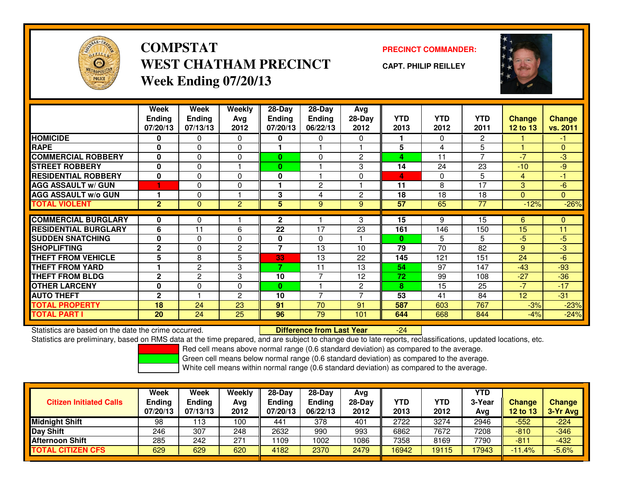

**COMPSTATWEST CHATHAM PRECINCTWeek Ending 07/20/13**

**PRECINCT COMMANDER:**

**CAPT. PHILIP REILLEY**



|                             | Week           | Week           | <b>Weekly</b>  | $28-Day$     | $28 - Day$     | Avg            |              |            |                |                |                |
|-----------------------------|----------------|----------------|----------------|--------------|----------------|----------------|--------------|------------|----------------|----------------|----------------|
|                             | <b>Ending</b>  | <b>Ending</b>  | Avg            | Ending       | <b>Ending</b>  | 28-Day         | <b>YTD</b>   | <b>YTD</b> | <b>YTD</b>     | <b>Change</b>  | <b>Change</b>  |
|                             | 07/20/13       | 07/13/13       | 2012           | 07/20/13     | 06/22/13       | 2012           | 2013         | 2012       | 2011           | 12 to 13       | vs. 2011       |
| <b>HOMICIDE</b>             | 0              | 0              | $\Omega$       | 0            | 0              | $\Omega$       |              | $\Omega$   | $\overline{2}$ |                | $-1$           |
| <b>RAPE</b>                 | $\mathbf{0}$   | $\Omega$       | $\Omega$       |              |                |                | 5            | 4          | 5              | $\overline{1}$ | $\mathbf{0}$   |
| <b>COMMERCIAL ROBBERY</b>   | 0              | 0              | $\Omega$       | $\bf{0}$     | $\Omega$       | $\overline{c}$ | 4            | 11         | $\overline{7}$ | $-7$           | $-3$           |
| <b>STREET ROBBERY</b>       | $\bf{0}$       | 0              |                | 0            |                | 3              | 14           | 24         | 23             | $-10$          | $-9$           |
| <b>RESIDENTIAL ROBBERY</b>  | 0              | 0              | $\Omega$       | 0            |                | $\Omega$       | 4            | $\Omega$   | 5              | 4              | $-1$           |
| <b>AGG ASSAULT w/ GUN</b>   |                | $\Omega$       | $\mathbf{0}$   |              | $\mathbf{2}$   |                | 11           | 8          | 17             | 3              | $-6$           |
| <b>AGG ASSAULT w/o GUN</b>  |                | $\Omega$       |                | 3            | 4              | $\overline{c}$ | 18           | 18         | 18             | $\mathbf{0}$   | $\overline{0}$ |
| <b>TOTAL VIOLENT</b>        | 2 <sup>1</sup> | $\mathbf{0}$   | $\overline{2}$ | 5            | 9              | 9              | 57           | 65         | 77             | $-12%$         | $-26%$         |
| <b>COMMERCIAL BURGLARY</b>  | 0              | 0              |                | $\mathbf{2}$ |                | 3              | 15           | 9          | 15             | 6              | $\mathbf{0}$   |
| <b>RESIDENTIAL BURGLARY</b> | 6              | 11             | 6              | 22           | 17             | 23             | 161          | 146        | 150            | 15             | 11             |
|                             |                |                |                |              |                |                |              |            |                |                |                |
| <b>SUDDEN SNATCHING</b>     | $\mathbf{0}$   | $\Omega$       | $\Omega$       | 0            | $\mathbf{0}$   |                | $\mathbf{0}$ | 5          | 5              | $-5$           | $-5$           |
| <b>SHOPLIFTING</b>          | $\mathbf{2}$   | 0              | $\overline{2}$ | 7            | 13             | 10             | 79           | 70         | 82             | 9              | $-3$           |
| <b>THEFT FROM VEHICLE</b>   | 5              | 8              | 5              | 33           | 13             | 22             | 145          | 121        | 151            | 24             | $-6$           |
| <b>THEFT FROM YARD</b>      |                | 2              | 3              | 7            | 11             | 13             | 54           | 97         | 147            | $-43$          | $-93$          |
| <b>THEFT FROM BLDG</b>      | $\mathbf{2}$   | $\overline{c}$ | 3              | 10           | $\overline{7}$ | 12             | 72           | 99         | 108            | $-27$          | $-36$          |
| <b>OTHER LARCENY</b>        | $\mathbf{0}$   | $\Omega$       | $\Omega$       | 0            |                | $\overline{c}$ | 8            | 15         | 25             | $-7$           | $-17$          |
| <b>AUTO THEFT</b>           | $\mathbf{2}$   |                | $\overline{c}$ | 10           | $\overline{7}$ | ⇁              | 53           | 41         | 84             | 12             | $-31$          |
| <b>TOTAL PROPERTY</b>       | 18             | 24             | 23             | 91           | 70             | 91             | 587          | 603        | 767            | $-3%$          | $-23%$         |
| <b>TOTAL PART I</b>         | <b>20</b>      | 24             | 25             | 96           | 79             | 101            | 644          | 668        | 844            | $-4%$          | $-24%$         |

Statistics are based on the date the crime occurred. **Difference from Last Year** 

Statistics are preliminary, based on RMS data at the time prepared, and are subject to change due to late reports, reclassifications, updated locations, etc.

Red cell means above normal range (0.6 standard deviation) as compared to the average.

-24

Green cell means below normal range (0.6 standard deviation) as compared to the average.

| <b>Citizen Initiated Calls</b> | Week<br>Ending<br>07/20/13 | Week<br><b>Ending</b><br>07/13/13 | Weekly<br>Avg<br>2012 | $28-Day$<br>Ending<br>07/20/13 | $28$ -Dav<br>Endina<br>06/22/13 | Avg<br>28-Day<br>2012 | YTD<br>2013 | YTD<br>2012 | <b>YTD</b><br>3-Year<br>Avg | <b>Change</b><br><b>12 to 13</b> | Change<br>3-Yr Avg |
|--------------------------------|----------------------------|-----------------------------------|-----------------------|--------------------------------|---------------------------------|-----------------------|-------------|-------------|-----------------------------|----------------------------------|--------------------|
| <b>Midnight Shift</b>          | 98                         | 113                               | 100                   | 441                            | 378                             | 401                   | 2722        | 3274        | 2946                        | $-552$                           | $-224$             |
| Day Shift                      | 246                        | 307                               | 248                   | 2632                           | 990                             | 993                   | 6862        | 7672        | 7208                        | $-810$                           | $-346$             |
| <b>Afternoon Shift</b>         | 285                        | 242                               | 271                   | 1109                           | 1002                            | 1086                  | 7358        | 8169        | 7790                        | $-811$                           | $-432$             |
| <b>TOTAL CITIZEN CFS</b>       | 629                        | 629                               | 620                   | 4182                           | 2370                            | 2479                  | 16942       | 19115       | 17943                       | $-11.4%$                         | $-5.6%$            |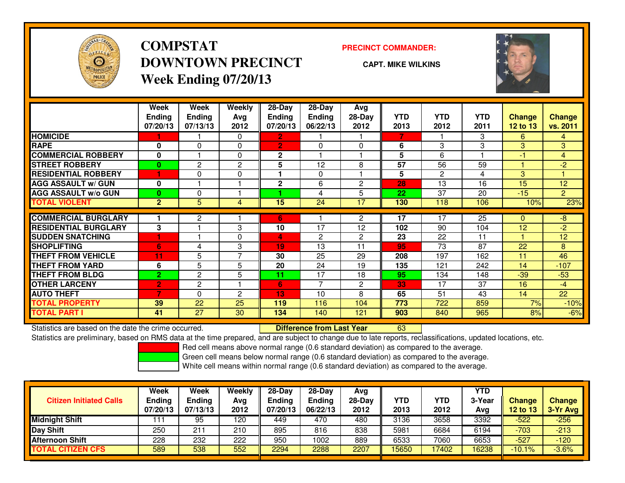

## **COMPSTATDOWNTOWN PRECINCTWeek Ending 07/20/13**

### **PRECINCT COMMANDER:**

**CAPT. MIKE WILKINS**

<sup>63</sup>



|                             | Week<br><b>Ending</b><br>07/20/13 | Week<br>Ending<br>07/13/13 | <b>Weekly</b><br>Ava<br>2012 | 28-Day<br><b>Ending</b><br>07/20/13 | $28-Day$<br><b>Ending</b><br>06/22/13 | Avg<br>$28-Day$<br>2012 | <b>YTD</b><br>2013 | <b>YTD</b><br>2012 | <b>YTD</b><br>2011 | <b>Change</b><br>12 to 13 | <b>Change</b><br>vs. 2011 |
|-----------------------------|-----------------------------------|----------------------------|------------------------------|-------------------------------------|---------------------------------------|-------------------------|--------------------|--------------------|--------------------|---------------------------|---------------------------|
| <b>HOMICIDE</b>             |                                   |                            | $\Omega$                     | $\mathbf{2}$                        |                                       |                         | 7                  |                    | 3                  | 6                         | $\overline{4}$            |
| <b>RAPE</b>                 | 0                                 | 0                          | $\mathbf 0$                  | $\overline{2}$                      | 0                                     | $\Omega$                | 6                  | 3                  | 3                  | 3                         | 3                         |
| <b>COMMERCIAL ROBBERY</b>   | 0                                 |                            | $\Omega$                     | $\mathbf{2}$                        |                                       |                         | 5                  | 6                  |                    | -1                        | $\overline{4}$            |
| <b>STREET ROBBERY</b>       | $\bf{0}$                          | $\overline{2}$             | $\overline{2}$               | 5                                   | 12                                    | 8                       | 57                 | 56                 | 59                 |                           | $-2$                      |
| <b>RESIDENTIAL ROBBERY</b>  | 1                                 | 0                          | $\mathbf 0$                  |                                     | 0                                     |                         | 5                  | $\overline{2}$     | 4                  | 3                         |                           |
| <b>AGG ASSAULT w/ GUN</b>   | 0                                 |                            |                              | $\mathbf{2}$                        | 6                                     | $\overline{2}$          | 28                 | 13                 | 16                 | 15                        | 12                        |
| <b>AGG ASSAULT w/o GUN</b>  | 0                                 | 0                          |                              |                                     | 4                                     | 5                       | 22                 | 37                 | 20                 | $-15$                     | $\overline{2}$            |
| <b>TOTAL VIOLENT</b>        | $\overline{2}$                    | 5                          | 4                            | 15                                  | 24                                    | 17                      | 130                | 118                | 106                | 10%                       | 23%                       |
| <b>COMMERCIAL BURGLARY</b>  |                                   | $\mathbf{2}$               |                              | 6                                   |                                       | $\overline{2}$          | 17                 | 17                 | 25                 | $\mathbf{0}$              | -8                        |
| <b>RESIDENTIAL BURGLARY</b> | 3                                 |                            | 3                            | 10                                  | 17                                    | 12                      | 102                | 90                 | 104                | 12                        | $-2$                      |
| <b>SUDDEN SNATCHING</b>     |                                   |                            | $\Omega$                     | 4                                   | $\overline{2}$                        | $\overline{c}$          | 23                 | 22                 | 11                 |                           | 12                        |
| <b>SHOPLIFTING</b>          | 6                                 | 4                          | 3                            | 19                                  | 13                                    | 11                      | 95                 | 73                 | 87                 | 22                        | 8                         |
| <b>THEFT FROM VEHICLE</b>   | 11                                | 5                          | $\overline{ }$               | 30                                  | 25                                    | 29                      | 208                | 197                | 162                | 11                        | 46                        |
| <b>THEFT FROM YARD</b>      | 6                                 | 5                          | 5                            | 20                                  | 24                                    | 19                      | 135                | 121                | 242                | 14                        | $-107$                    |
| <b>THEFT FROM BLDG</b>      | $\overline{2}$                    | $\overline{c}$             | 5                            | 11                                  | 17                                    | 18                      | 95                 | 134                | 148                | $-39$                     | $-53$                     |
| <b>OTHER LARCENY</b>        | $\overline{2}$                    | 2                          |                              | 6                                   | 7                                     | $\overline{c}$          | 33                 | 17                 | 37                 | 16                        | $-4$                      |
| <b>AUTO THEFT</b>           |                                   | 0                          | $\overline{2}$               | 13                                  | 10                                    | 8                       | 65                 | 51                 | 43                 | 14                        | 22                        |
| <b>TOTAL PROPERTY</b>       | 39                                | 22                         | 25                           | 119                                 | 116                                   | 104                     | 773                | 722                | 859                | 7%                        | $-10%$                    |
| <b>TOTAL PART I</b>         | 41                                | 27                         | 30                           | 134                                 | 140                                   | 121                     | 903                | 840                | 965                | 8%                        | $-6%$                     |

Statistics are based on the date the crime occurred. **Difference from Last Year** 

Statistics are preliminary, based on RMS data at the time prepared, and are subject to change due to late reports, reclassifications, updated locations, etc.

Red cell means above normal range (0.6 standard deviation) as compared to the average.

Green cell means below normal range (0.6 standard deviation) as compared to the average.

| <b>Week</b> | Week          | Weekly | $28-Day$ | $28-Dav$      | Avg           |        |            | <b>YTD</b> |          | <b>Change</b> |
|-------------|---------------|--------|----------|---------------|---------------|--------|------------|------------|----------|---------------|
| 07/20/13    | 07/13/13      | 2012   | 07/20/13 | 06/22/13      | 2012          | 2013   | 2012       | Avg        | 12 to 13 | $3-Yr$ Avg    |
|             | 95            | 120    | 449      | 470           | 480           | 3136   | 3658       | 3392       | $-522$   | $-256$        |
| 250         | $21^{\circ}$  | 210    | 895      | 816           | 838           | 5981   | 6684       | 6194       | $-703$   | $-213$        |
| 228         | 232           | 222    | 950      | 1002          | 889           | 6533   | 7060       | 6653       | $-527$   | $-120$        |
| 589         | 538           | 552    | 2294     | 2288          | 2207          | 15650  | 17402      | 6238       | $-10.1%$ | 3.6%          |
|             | <b>Ending</b> | Ending | Avg      | <b>Ending</b> | <b>Ending</b> | 28-Day | <b>YTD</b> | YTD        | 3-Year   | Change        |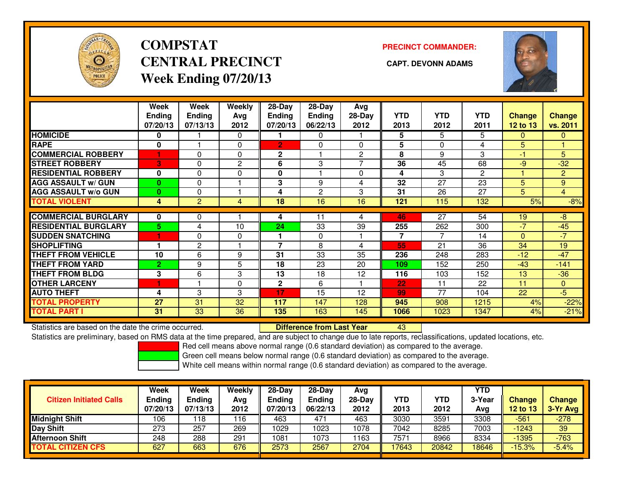

# **COMPSTATCENTRAL PRECINCT CAPT. DEVONN ADAMSWeek Ending 07/20/13**

**PRECINCT COMMANDER:**



|                             | Week<br><b>Ending</b><br>07/20/13 | Week<br><b>Ending</b><br>07/13/13 | Weekly<br>Ava<br>2012 | 28-Day<br><b>Ending</b><br>07/20/13 | 28-Day<br>Ending<br>06/22/13 | Avg<br>$28-Day$<br>2012 | <b>YTD</b><br>2013 | <b>YTD</b><br>2012 | <b>YTD</b><br>2011 | <b>Change</b><br><b>12 to 13</b> | <b>Change</b><br>vs. 2011 |
|-----------------------------|-----------------------------------|-----------------------------------|-----------------------|-------------------------------------|------------------------------|-------------------------|--------------------|--------------------|--------------------|----------------------------------|---------------------------|
| <b>HOMICIDE</b>             | 0                                 |                                   | $\Omega$              |                                     | $\Omega$                     |                         | 5                  | 5                  | 5                  | $\Omega$                         | $\overline{0}$            |
| <b>RAPE</b>                 | 0                                 |                                   | 0                     | $\overline{2}$                      | $\Omega$                     | 0                       | 5                  | $\Omega$           | 4                  | 5                                |                           |
| <b>COMMERCIAL ROBBERY</b>   |                                   | 0                                 | $\Omega$              | $\mathbf{2}$                        |                              | 2                       | 8                  | 9                  | 3                  | -1                               | 5                         |
| <b>STREET ROBBERY</b>       | 3                                 | 0                                 | 2                     | 6                                   | 3                            | 7                       | 36                 | 45                 | 68                 | $-9$                             | $-32$                     |
| <b>RESIDENTIAL ROBBERY</b>  | 0                                 | 0                                 | 0                     | $\mathbf{0}$                        |                              | $\Omega$                | 4                  | 3                  | $\overline{2}$     |                                  | $\overline{2}$            |
| <b>AGG ASSAULT w/ GUN</b>   | $\bf{0}$                          | 0                                 |                       | 3                                   | 9                            | 4                       | 32                 | 27                 | 23                 | 5                                | 9                         |
| <b>AGG ASSAULT w/o GUN</b>  | 0                                 | 0                                 |                       | 4                                   | $\mathbf{2}$                 | 3                       | 31                 | 26                 | 27                 | 5                                | $\overline{4}$            |
| <b>TOTAL VIOLENT</b>        | 4                                 | $\overline{2}$                    | 4                     | 18                                  | 16                           | 16                      | 121                | 115                | 132                | 5%                               | $-8%$                     |
|                             |                                   |                                   |                       |                                     |                              |                         |                    |                    |                    |                                  |                           |
| <b>COMMERCIAL BURGLARY</b>  | 0                                 | 0                                 |                       | 4                                   | 11                           | 4                       | 46                 | 27                 | 54                 | 19                               | -8                        |
| <b>RESIDENTIAL BURGLARY</b> | 5                                 | 4                                 | 10                    | 24                                  | 33                           | 39                      | 255                | 262                | 300                | $-7$                             | $-45$                     |
| <b>SUDDEN SNATCHING</b>     | и                                 | 0                                 | $\Omega$              |                                     | $\Omega$                     |                         | 7                  | $\overline{7}$     | 14                 | $\mathbf{0}$                     | $-7$                      |
| <b>SHOPLIFTING</b>          |                                   | 2                                 |                       | $\overline{\phantom{a}}$            | 8                            | 4                       | 55                 | 21                 | 36                 | 34                               | 19                        |
| <b>THEFT FROM VEHICLE</b>   | 10                                | 6                                 | 9                     | 31                                  | 33                           | 35                      | 236                | 248                | 283                | $-12$                            | $-47$                     |
| <b>THEFT FROM YARD</b>      | $\overline{2}$                    | 9                                 | 5                     | 18                                  | 23                           | 20                      | 109                | 152                | 250                | $-43$                            | $-141$                    |
| <b>THEFT FROM BLDG</b>      | 3                                 | 6                                 | 3                     | 13                                  | 18                           | 12                      | 116                | 103                | 152                | 13                               | $-36$                     |
| <b>OTHER LARCENY</b>        |                                   |                                   | $\Omega$              | $\mathbf{2}$                        | 6                            |                         | 22                 | 11                 | 22                 | 11                               | $\overline{0}$            |
| <b>AUTO THEFT</b>           | 4                                 | 3                                 | 3                     | 17                                  | 15                           | 12                      | 99                 | 77                 | 104                | 22                               | $-5$                      |
| <b>TOTAL PROPERTY</b>       | 27                                | 31                                | 32                    | 117                                 | 147                          | 128                     | 945                | 908                | 1215               | 4%                               | $-22%$                    |
| <b>TOTAL PART I</b>         | 31                                | 33                                | 36                    | 135                                 | 163                          | 145                     | 1066               | 1023               | 1347               | 4%                               | $-21%$                    |

Statistics are based on the date the crime occurred. **Difference from Last Year** 

Statistics are based on the date the crime occurred. **Externee the Luid Confference from Last Year Mated Action**<br>Statistics are preliminary, based on RMS data at the time prepared, and are subject to change due to late rep

Red cell means above normal range (0.6 standard deviation) as compared to the average.

Green cell means below normal range (0.6 standard deviation) as compared to the average.

| <b>Citizen Initiated Calls</b> | <b>Week</b><br><b>Ending</b><br>07/20/13 | Week<br>Ending<br>07/13/13 | Weekly<br>Avg<br>2012 | $28-Day$<br><b>Ending</b><br>07/20/13 | $28-Dav$<br>Ending<br>06/22/13 | Avg<br>$28-Day$<br>2012 | <b>YTD</b><br>2013 | YTD<br>2012 | <b>YTD</b><br>3-Year<br>Avg | Change<br>12 to 13 | <b>Change</b><br>3-Yr Avg |
|--------------------------------|------------------------------------------|----------------------------|-----------------------|---------------------------------------|--------------------------------|-------------------------|--------------------|-------------|-----------------------------|--------------------|---------------------------|
| <b>Midnight Shift</b>          | 106                                      | ∣18                        | 116                   | 463                                   | 471                            | 463                     | 3030               | 3591        | 3308                        | $-561$             | $-278$                    |
| Day Shift                      | 273                                      | 257                        | 269                   | 1029                                  | 1023                           | 1078                    | 7042               | 8285        | 7003                        | $-1243$            | 39                        |
| <b>Afternoon Shift</b>         | 248                                      | 288                        | 291                   | 1081                                  | 1073                           | 1163                    | 7571               | 8966        | 8334                        | -1395              | $-763$                    |
| <b>TOTAL CITIZEN CFS</b>       | 627                                      | 663                        | 676                   | 2573                                  | 2567                           | 2704                    | 17643              | 20842       | 8646                        | $-15.3%$           | $-5.4%$                   |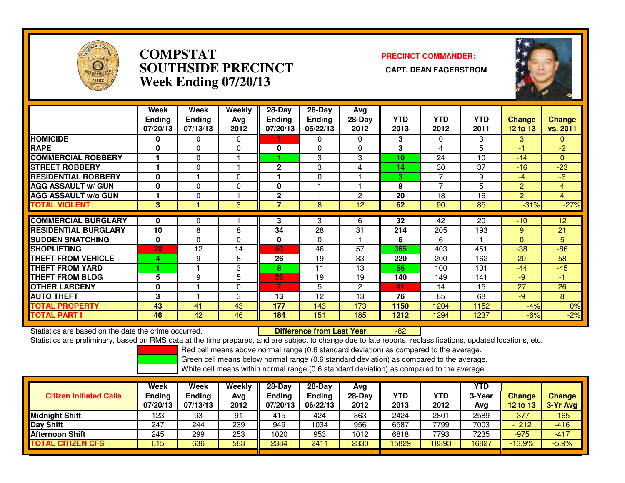

### **COMPSTAT PRECINCT COMMANDER: SOUTHSIDE PRECINCT CAPT. DEAN FAGERSTROMWeek Ending 07/20/13**



|                             | Week<br><b>Endina</b><br>07/20/13 | Week<br><b>Ending</b><br>07/13/13 | Weekly<br>Avg<br>2012 | $28-Day$<br><b>Ending</b><br>07/20/13 | $28-Day$<br><b>Endina</b><br>06/22/13 | Avg<br>28-Day<br>2012 | <b>YTD</b><br>2013 | <b>YTD</b><br>2012 | <b>YTD</b><br>2011 | <b>Change</b><br><b>12 to 13</b> | Change<br>vs. 2011 |
|-----------------------------|-----------------------------------|-----------------------------------|-----------------------|---------------------------------------|---------------------------------------|-----------------------|--------------------|--------------------|--------------------|----------------------------------|--------------------|
| <b>HOMICIDE</b>             | 0                                 | 0                                 | $\mathbf{0}$          |                                       | 0                                     | 0                     | 3                  | $\Omega$           | 3                  | 3                                | $\mathbf{0}$       |
| <b>RAPE</b>                 | 0                                 | $\Omega$                          | 0                     | 0                                     | $\Omega$                              | 0                     | 3                  | 4                  | 5                  | -1                               | $-2$               |
| <b>COMMERCIAL ROBBERY</b>   |                                   | $\Omega$                          |                       |                                       | 3                                     | 3                     | 10                 | 24                 | 10                 | $-14$                            | $\mathbf{0}$       |
| <b>STREET ROBBERY</b>       |                                   | $\Omega$                          |                       | $\mathbf{2}$                          | 3                                     | 4                     | 14                 | 30                 | 37                 | $-16$                            | $-23$              |
| <b>RESIDENTIAL ROBBERY</b>  | $\bf{0}$                          |                                   | $\Omega$              |                                       | $\Omega$                              |                       | 3                  | 7                  | 9                  | $-4$                             | $-6$               |
| <b>AGG ASSAULT w/ GUN</b>   | $\bf{0}$                          | $\Omega$                          | 0                     | $\bf{0}$                              |                                       |                       | 9                  | $\overline{7}$     | 5                  | 2                                | $\overline{4}$     |
| <b>AGG ASSAULT w/o GUN</b>  |                                   | $\Omega$                          |                       | $\mathbf{2}$                          |                                       | $\overline{c}$        | 20                 | 18                 | 16                 | $\overline{2}$                   | $\overline{4}$     |
| <b>TOTAL VIOLENT</b>        | 3                                 |                                   | 3                     | 7                                     | 8                                     | 12 <sup>2</sup>       | 62                 | 90                 | 85                 | $-31%$                           | $-27%$             |
|                             |                                   |                                   |                       |                                       |                                       |                       |                    |                    |                    |                                  |                    |
| <b>COMMERCIAL BURGLARY</b>  | 0                                 | $\Omega$                          |                       | 3                                     | 3                                     | 6                     | 32                 | 42                 | 20                 | $-10$                            | 12                 |
| <b>RESIDENTIAL BURGLARY</b> | 10                                | 8                                 | 8                     | 34                                    | 28                                    | 31                    | 214                | 205                | 193                | 9                                | 21                 |
| <b>SUDDEN SNATCHING</b>     | $\bf{0}$                          | $\Omega$                          | $\Omega$              | $\bf{0}$                              | $\Omega$                              |                       | 6                  | 6                  |                    | $\Omega$                         | 5                  |
| <b>SHOPLIFTING</b>          | 20                                | 12                                | 14                    | 60                                    | 46                                    | 57                    | 365                | 403                | 451                | $-38$                            | $-86$              |
| <b>THEFT FROM VEHICLE</b>   | 4                                 | 9                                 | 8                     | 26                                    | 19                                    | 33                    | 220                | 200                | 162                | 20                               | 58                 |
| <b>THEFT FROM YARD</b>      |                                   |                                   | 3                     | 8                                     | 11                                    | 13                    | 56                 | 100                | 101                | $-44$                            | $-45$              |
| <b>THEFT FROM BLDG</b>      | 5                                 | 9                                 | 5                     | 26                                    | 19                                    | 19                    | 140                | 149                | 141                | -9                               | $-1$               |
| <b>OTHER LARCENY</b>        | 0                                 |                                   | $\mathbf{0}$          | $\overline{7}$                        | 5                                     | $\overline{c}$        | 41                 | 14                 | 15                 | 27                               | 26                 |
| <b>AUTO THEFT</b>           | 3                                 |                                   | 3                     | 13                                    | 12                                    | 13                    | 76                 | 85                 | 68                 | $-9$                             | 8                  |
| <b>TOTAL PROPERTY</b>       | 43                                | 41                                | 43                    | 177                                   | 143                                   | 173                   | 1150               | 1204               | 1152               | $-4%$                            | 0%                 |
| <b>TOTAL PART I</b>         | 46                                | 42                                | 46                    | 184                                   | 151                                   | 185                   | 1212               | 1294               | 1237               | $-6%$                            | $-2%$              |

Statistics are based on the date the crime occurred. **Difference from Last Year** 

Statistics are based on the date the crime occurred. **Externee the Difference from Last Year Theore Accupy of** the<br>Statistics are preliminary, based on RMS data at the time prepared, and are subject to change due to late r

Red cell means above normal range (0.6 standard deviation) as compared to the average.

Green cell means below normal range (0.6 standard deviation) as compared to the average.

| <b>Citizen Initiated Calls</b> | Week<br><b>Ending</b><br>07/20/13 | <b>Week</b><br><b>Ending</b><br>07/13/13 | Weekly<br>Avg<br>2012 | $28-Day$<br><b>Ending</b><br>07/20/13 | $28$ -Dav<br><b>Ending</b><br>06/22/13 | Avg<br>$28-Day$<br>2012 | YTD<br>2013 | YTD<br>2012 | YTD<br>3-Year<br>Avg | <b>Change</b><br>12 to 13 | Change<br>3-Yr Avg |
|--------------------------------|-----------------------------------|------------------------------------------|-----------------------|---------------------------------------|----------------------------------------|-------------------------|-------------|-------------|----------------------|---------------------------|--------------------|
| <b>Midnight Shift</b>          | 123                               | 93                                       | 91                    | 415                                   | 424                                    | 363                     | 2424        | 2801        | 2589                 | -377                      | $-165$             |
| Day Shift                      | 247                               | 244                                      | 239                   | 949                                   | 1034                                   | 956                     | 6587        | 7799        | 7003                 | $-1212$                   | $-416$             |
| <b>Afternoon Shift</b>         | 245                               | 299                                      | 253                   | 1020                                  | 953                                    | 1012                    | 6818        | 7793        | 7235                 | $-975$                    | $-417$             |
| <b>TOTAL CITIZEN CFS</b>       | 615                               | 636                                      | 583                   | 2384                                  | $241 -$                                | 2330                    | 15829       | 18393       | 16827                | $-13.9%$                  | $-5.9%$            |